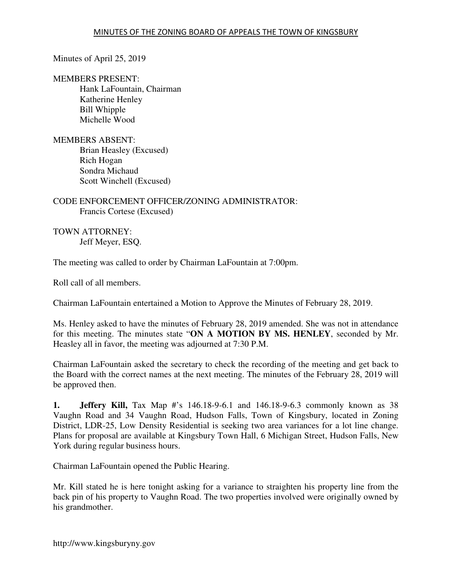## Minutes of April 25, 2019

### MEMBERS PRESENT:

 Hank LaFountain, Chairman Katherine Henley Bill Whipple Michelle Wood

## MEMBERS ABSENT:

Brian Heasley (Excused) Rich Hogan Sondra Michaud Scott Winchell (Excused)

# CODE ENFORCEMENT OFFICER/ZONING ADMINISTRATOR: Francis Cortese (Excused)

TOWN ATTORNEY: Jeff Meyer, ESQ.

The meeting was called to order by Chairman LaFountain at 7:00pm.

Roll call of all members.

Chairman LaFountain entertained a Motion to Approve the Minutes of February 28, 2019.

Ms. Henley asked to have the minutes of February 28, 2019 amended. She was not in attendance for this meeting. The minutes state "**ON A MOTION BY MS. HENLEY**, seconded by Mr. Heasley all in favor, the meeting was adjourned at 7:30 P.M.

Chairman LaFountain asked the secretary to check the recording of the meeting and get back to the Board with the correct names at the next meeting. The minutes of the February 28, 2019 will be approved then.

**1. Jeffery Kill,** Tax Map #'s 146.18-9-6.1 and 146.18-9-6.3 commonly known as 38 Vaughn Road and 34 Vaughn Road, Hudson Falls, Town of Kingsbury, located in Zoning District, LDR-25, Low Density Residential is seeking two area variances for a lot line change. Plans for proposal are available at Kingsbury Town Hall, 6 Michigan Street, Hudson Falls, New York during regular business hours.

Chairman LaFountain opened the Public Hearing.

Mr. Kill stated he is here tonight asking for a variance to straighten his property line from the back pin of his property to Vaughn Road. The two properties involved were originally owned by his grandmother.

http://www.kingsburyny.gov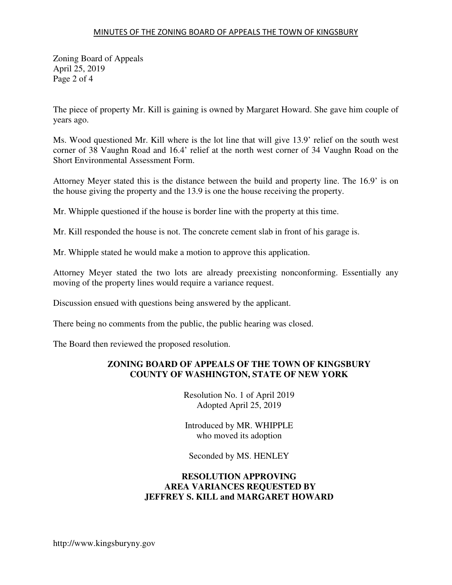### MINUTES OF THE ZONING BOARD OF APPEALS THE TOWN OF KINGSBURY

Zoning Board of Appeals April 25, 2019 Page 2 of 4

The piece of property Mr. Kill is gaining is owned by Margaret Howard. She gave him couple of years ago.

Ms. Wood questioned Mr. Kill where is the lot line that will give 13.9' relief on the south west corner of 38 Vaughn Road and 16.4' relief at the north west corner of 34 Vaughn Road on the Short Environmental Assessment Form.

Attorney Meyer stated this is the distance between the build and property line. The 16.9' is on the house giving the property and the 13.9 is one the house receiving the property.

Mr. Whipple questioned if the house is border line with the property at this time.

Mr. Kill responded the house is not. The concrete cement slab in front of his garage is.

Mr. Whipple stated he would make a motion to approve this application.

Attorney Meyer stated the two lots are already preexisting nonconforming. Essentially any moving of the property lines would require a variance request.

Discussion ensued with questions being answered by the applicant.

There being no comments from the public, the public hearing was closed.

The Board then reviewed the proposed resolution.

## **ZONING BOARD OF APPEALS OF THE TOWN OF KINGSBURY COUNTY OF WASHINGTON, STATE OF NEW YORK**

Resolution No. 1 of April 2019 Adopted April 25, 2019

Introduced by MR. WHIPPLE who moved its adoption

Seconded by MS. HENLEY

## **RESOLUTION APPROVING AREA VARIANCES REQUESTED BY JEFFREY S. KILL and MARGARET HOWARD**

http://www.kingsburyny.gov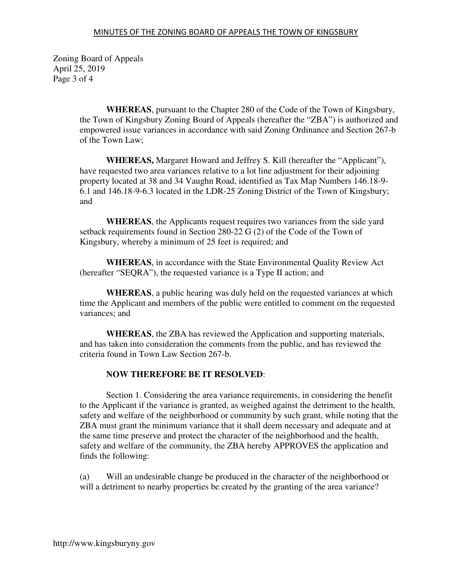Zoning Board of Appeals April 25, 2019 Page 3 of 4

> **WHEREAS**, pursuant to the Chapter 280 of the Code of the Town of Kingsbury, the Town of Kingsbury Zoning Board of Appeals (hereafter the "ZBA") is authorized and empowered issue variances in accordance with said Zoning Ordinance and Section 267-b of the Town Law;

**WHEREAS,** Margaret Howard and Jeffrey S. Kill (hereafter the "Applicant"), have requested two area variances relative to a lot line adjustment for their adjoining property located at 38 and 34 Vaughn Road, identified as Tax Map Numbers 146.18-9- 6.1 and 146.18-9-6.3 located in the LDR-25 Zoning District of the Town of Kingsbury; and

**WHEREAS**, the Applicants request requires two variances from the side yard setback requirements found in Section 280-22 G (2) of the Code of the Town of Kingsbury, whereby a minimum of 25 feet is required; and

**WHEREAS**, in accordance with the State Environmental Quality Review Act (hereafter "SEQRA"), the requested variance is a Type II action; and

**WHEREAS**, a public hearing was duly held on the requested variances at which time the Applicant and members of the public were entitled to comment on the requested variances; and

**WHEREAS**, the ZBA has reviewed the Application and supporting materials, and has taken into consideration the comments from the public, and has reviewed the criteria found in Town Law Section 267-b.

## **NOW THEREFORE BE IT RESOLVED**:

 Section 1. Considering the area variance requirements, in considering the benefit to the Applicant if the variance is granted, as weighed against the detriment to the health, safety and welfare of the neighborhood or community by such grant, while noting that the ZBA must grant the minimum variance that it shall deem necessary and adequate and at the same time preserve and protect the character of the neighborhood and the health, safety and welfare of the community, the ZBA hereby APPROVES the application and finds the following:

(a) Will an undesirable change be produced in the character of the neighborhood or will a detriment to nearby properties be created by the granting of the area variance?